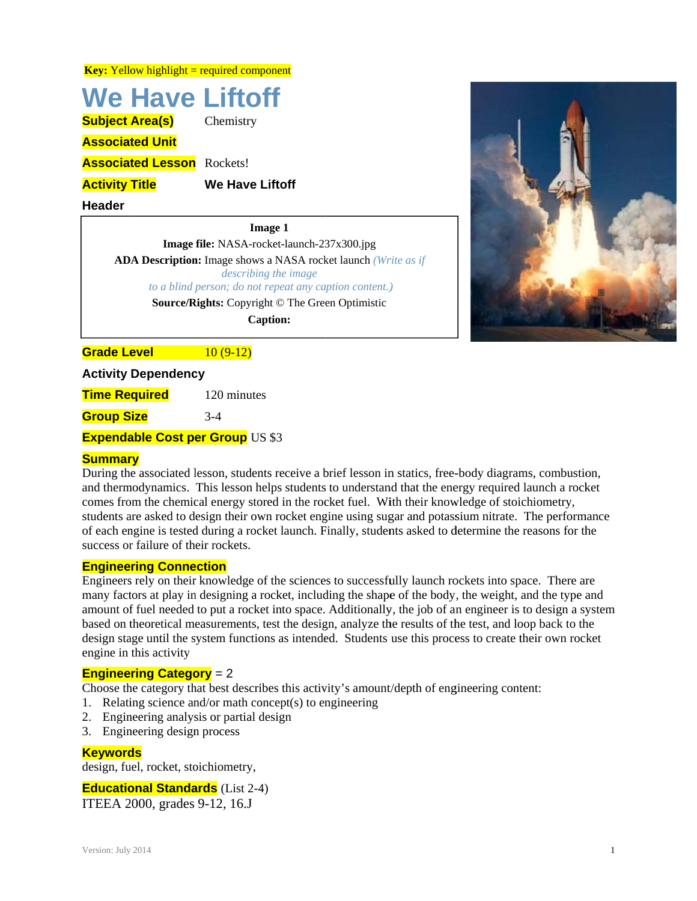**Key:** Yellow highlight = required component

# **We Have Liftoff**

**Subject Area(s)** 

**Associated Unit** 

**Associated Lesson** Rockets!

**Activity Title** 

**Header** 

**Image 1** 

**We Have Liftoff** 

Chemistry

Image file: NASA-rocket-launch-237x300.jpg

**ADA Description:** Image shows a NASA rocket launch (Write as if describing the image to a blind person; do not repeat any caption content.)

Source/Rights: Copyright © The Green Optimistic

**Caption:** 

**Grade Level**  $10(9-12)$ 

**Activity Dependency** 

**Time Required** 120 minutes

**Group Size**  $3-4$ 

**Expendable Cost per Group US \$3** 

# **Summary**

During the associated lesson, students receive a brief lesson in statics, free-body diagrams, combustion, and thermodynamics. This lesson helps students to understand that the energy required launch a rocket comes from the chemical energy stored in the rocket fuel. With their knowledge of stoichiometry, students are asked to design their own rocket engine using sugar and potassium nitrate. The performance of each engine is tested during a rocket launch. Finally, students asked to determine the reasons for the success or failure of their rockets.

# **Engineering Connection**

Engineers rely on their knowledge of the sciences to successfully launch rockets into space. There are many factors at play in designing a rocket, including the shape of the body, the weight, and the type and amount of fuel needed to put a rocket into space. Additionally, the job of an engineer is to design a system based on theoretical measurements, test the design, analyze the results of the test, and loop back to the design stage until the system functions as intended. Students use this process to create their own rocket engine in this activity

# **Engineering Category** =  $2$

Choose the category that best describes this activity's amount/depth of engineering content:

- 1. Relating science and/or math concept(s) to engineering
- 2. Engineering analysis or partial design
- 3. Engineering design process

#### **Kevwords**

design, fuel, rocket, stoichiometry,

# **Educational Standards** (List 2-4)

ITEEA 2000, grades 9-12, 16.J

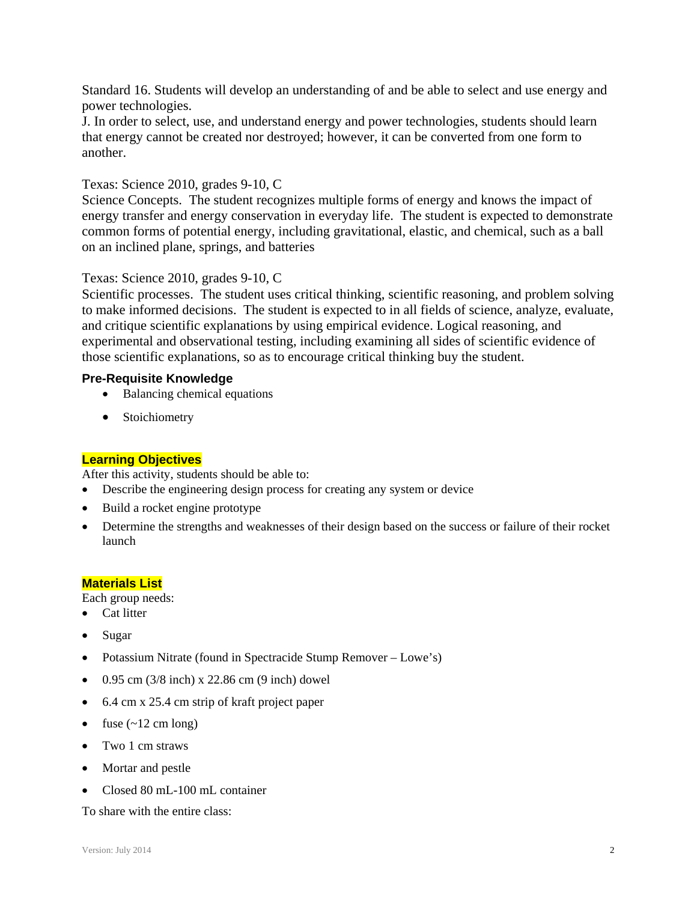Standard 16. Students will develop an understanding of and be able to select and use energy and power technologies.

J. In order to select, use, and understand energy and power technologies, students should learn that energy cannot be created nor destroyed; however, it can be converted from one form to another.

# Texas: Science 2010, grades 9-10, C

Science Concepts. The student recognizes multiple forms of energy and knows the impact of energy transfer and energy conservation in everyday life. The student is expected to demonstrate common forms of potential energy, including gravitational, elastic, and chemical, such as a ball on an inclined plane, springs, and batteries

#### Texas: Science 2010, grades 9-10, C

Scientific processes. The student uses critical thinking, scientific reasoning, and problem solving to make informed decisions. The student is expected to in all fields of science, analyze, evaluate, and critique scientific explanations by using empirical evidence. Logical reasoning, and experimental and observational testing, including examining all sides of scientific evidence of those scientific explanations, so as to encourage critical thinking buy the student.

#### **Pre-Requisite Knowledge**

- Balancing chemical equations
- Stoichiometry

#### **Learning Objectives**

After this activity, students should be able to:

- Describe the engineering design process for creating any system or device
- Build a rocket engine prototype
- Determine the strengths and weaknesses of their design based on the success or failure of their rocket launch

#### **Materials List**

Each group needs:

- Cat litter
- Sugar
- Potassium Nitrate (found in Spectracide Stump Remover Lowe's)
- $\bullet$  0.95 cm (3/8 inch) x 22.86 cm (9 inch) dowel
- 6.4 cm x 25.4 cm strip of kraft project paper
- fuse  $(\sim 12 \text{ cm long})$
- Two 1 cm straws
- Mortar and pestle
- Closed 80 mL-100 mL container

To share with the entire class: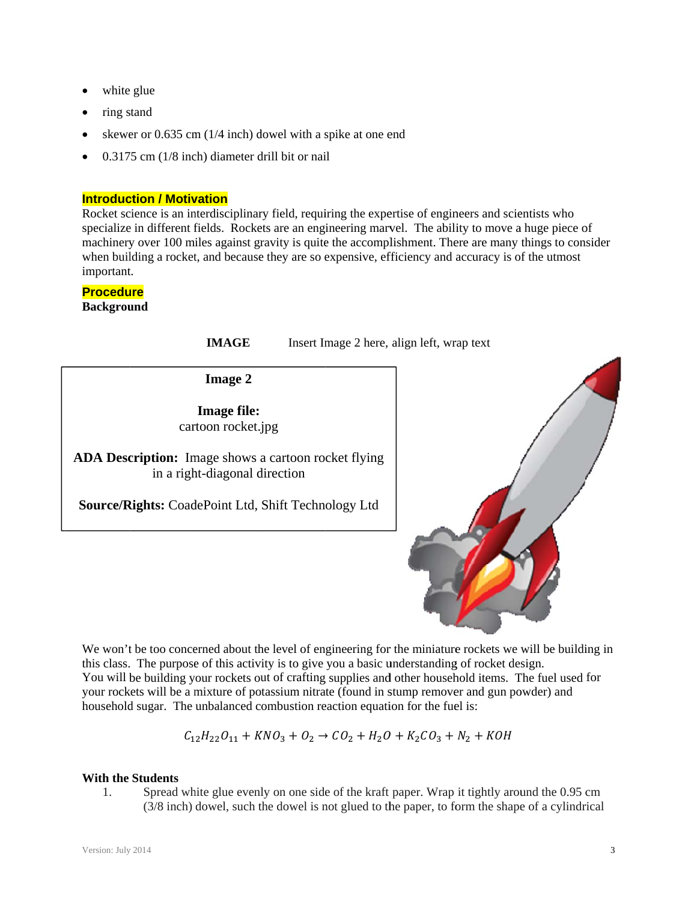- white glue
- ring stand
- skewer or  $0.635$  cm  $(1/4$  inch) dowel with a spike at one end
- $\bullet$  0.3175 cm (1/8 inch) diameter drill bit or nail

# **Introduction / Motivation**

Rocket science is an interdisciplinary field, requiring the expertise of engineers and scientists who specialize in different fields. Rockets are an engineering marvel. The ability to move a huge piece of machinery over 100 miles against gravity is quite the accomplishment. There are many things to consider when building a rocket, and because they are so expensive, efficiency and accuracy is of the utmost important.

# **Procedure**

**Background** 

**IMAGE** Insert Image 2 here, align left, wrap text

**Image 2** 

cartoon rocket.jpg **Image file:** 

ADA Description: Image shows a cartoon rocket flying in a right-diagonal direction

Source/Rights: CoadePoint Ltd, Shift Technology Ltd



We won't be too concerned about the level of engineering for the miniature rockets we will be building in this class. The purpose of this activity is to give you a basic understanding of rocket design. You will be building your rockets out of crafting supplies and other household items. The fuel used for your rockets will be a mixture of potassium nitrate (found in stump remover and gun powder) and household sugar. The unbalanced combustion reaction equation for the fuel is:

$$
C_{12}H_{22}O_{11} + KNO_3 + O_2 \rightarrow CO_2 + H_2O + K_2CO_3 + N_2 + KOH
$$

#### **With the Students**

1. Spread white glue evenly on one side of the kraft paper. Wrap it tightly around the 0.95 cm (3/8 inch) dowel, such the dowel is not glued to the paper, to form the shape of a cylindrical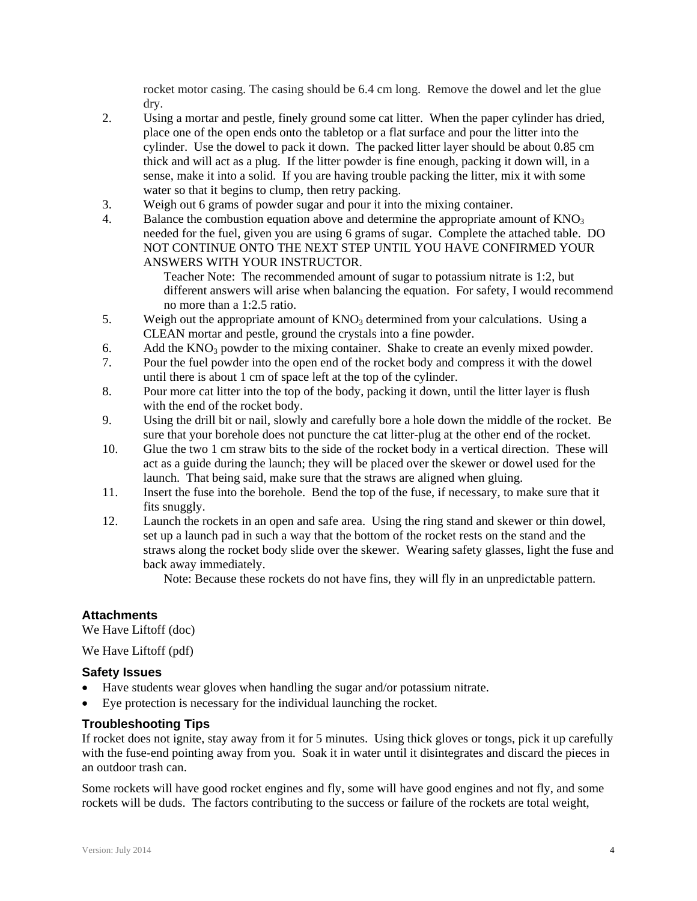rocket motor casing. The casing should be 6.4 cm long. Remove the dowel and let the glue dry.

- 2. Using a mortar and pestle, finely ground some cat litter. When the paper cylinder has dried, place one of the open ends onto the tabletop or a flat surface and pour the litter into the cylinder. Use the dowel to pack it down. The packed litter layer should be about 0.85 cm thick and will act as a plug. If the litter powder is fine enough, packing it down will, in a sense, make it into a solid. If you are having trouble packing the litter, mix it with some water so that it begins to clump, then retry packing.
- 3. Weigh out 6 grams of powder sugar and pour it into the mixing container.
- 4. Balance the combustion equation above and determine the appropriate amount of  $KNO<sub>3</sub>$ needed for the fuel, given you are using 6 grams of sugar. Complete the attached table. DO NOT CONTINUE ONTO THE NEXT STEP UNTIL YOU HAVE CONFIRMED YOUR ANSWERS WITH YOUR INSTRUCTOR.

Teacher Note: The recommended amount of sugar to potassium nitrate is 1:2, but different answers will arise when balancing the equation. For safety, I would recommend no more than a 1:2.5 ratio.

- 5. Weigh out the appropriate amount of  $KNO_3$  determined from your calculations. Using a CLEAN mortar and pestle, ground the crystals into a fine powder.
- 6. Add the  $KNO<sub>3</sub>$  powder to the mixing container. Shake to create an evenly mixed powder.
- 7. Pour the fuel powder into the open end of the rocket body and compress it with the dowel until there is about 1 cm of space left at the top of the cylinder.
- 8. Pour more cat litter into the top of the body, packing it down, until the litter layer is flush with the end of the rocket body.
- 9. Using the drill bit or nail, slowly and carefully bore a hole down the middle of the rocket. Be sure that your borehole does not puncture the cat litter-plug at the other end of the rocket.
- 10. Glue the two 1 cm straw bits to the side of the rocket body in a vertical direction. These will act as a guide during the launch; they will be placed over the skewer or dowel used for the launch. That being said, make sure that the straws are aligned when gluing.
- 11. Insert the fuse into the borehole. Bend the top of the fuse, if necessary, to make sure that it fits snuggly.
- 12. Launch the rockets in an open and safe area. Using the ring stand and skewer or thin dowel, set up a launch pad in such a way that the bottom of the rocket rests on the stand and the straws along the rocket body slide over the skewer. Wearing safety glasses, light the fuse and back away immediately.

Note: Because these rockets do not have fins, they will fly in an unpredictable pattern.

# **Attachments**

We Have Liftoff (doc)

We Have Liftoff (pdf)

#### **Safety Issues**

- Have students wear gloves when handling the sugar and/or potassium nitrate.
- Eye protection is necessary for the individual launching the rocket.

#### **Troubleshooting Tips**

If rocket does not ignite, stay away from it for 5 minutes. Using thick gloves or tongs, pick it up carefully with the fuse-end pointing away from you. Soak it in water until it disintegrates and discard the pieces in an outdoor trash can.

Some rockets will have good rocket engines and fly, some will have good engines and not fly, and some rockets will be duds. The factors contributing to the success or failure of the rockets are total weight,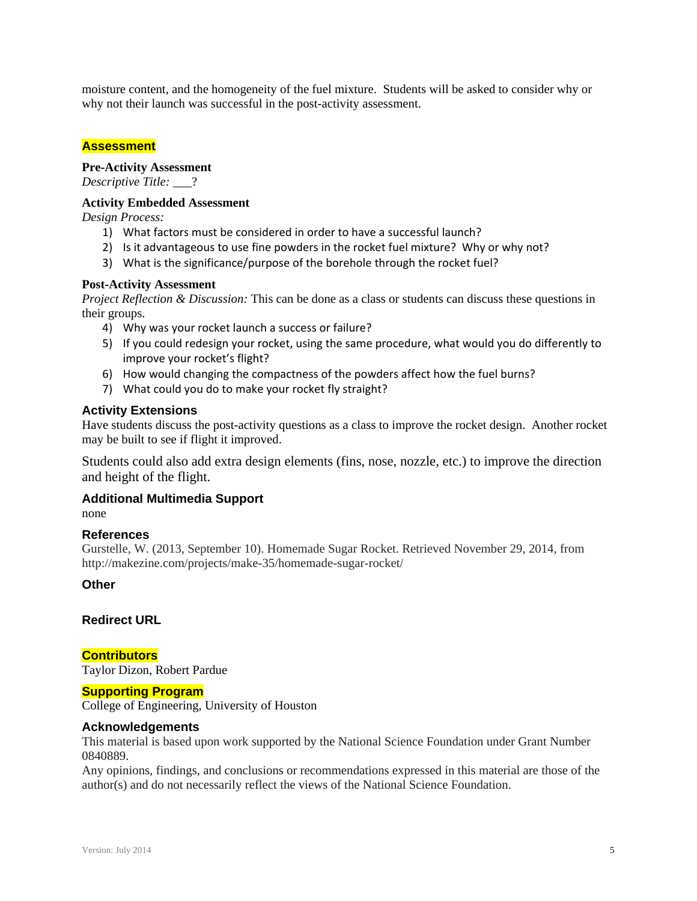moisture content, and the homogeneity of the fuel mixture. Students will be asked to consider why or why not their launch was successful in the post-activity assessment.

# **Assessment**

# **Pre-Activity Assessment**

*Descriptive Title:* \_\_\_?

#### **Activity Embedded Assessment**

*Design Process:* 

- 1) What factors must be considered in order to have a successful launch?
- 2) Is it advantageous to use fine powders in the rocket fuel mixture? Why or why not?
- 3) What is the significance/purpose of the borehole through the rocket fuel?

#### **Post-Activity Assessment**

*Project Reflection & Discussion:* This can be done as a class or students can discuss these questions in their groups.

- 4) Why was your rocket launch a success or failure?
- 5) If you could redesign your rocket, using the same procedure, what would you do differently to improve your rocket's flight?
- 6) How would changing the compactness of the powders affect how the fuel burns?
- 7) What could you do to make your rocket fly straight?

#### **Activity Extensions**

Have students discuss the post-activity questions as a class to improve the rocket design. Another rocket may be built to see if flight it improved.

Students could also add extra design elements (fins, nose, nozzle, etc.) to improve the direction and height of the flight.

#### **Additional Multimedia Support**

none

# **References**

Gurstelle, W. (2013, September 10). Homemade Sugar Rocket. Retrieved November 29, 2014, from http://makezine.com/projects/make-35/homemade-sugar-rocket/

# **Other**

### **Redirect URL**

**Contributors** Taylor Dizon, Robert Pardue

#### **Supporting Program**

College of Engineering, University of Houston

#### **Acknowledgements**

This material is based upon work supported by the National Science Foundation under Grant Number 0840889.

Any opinions, findings, and conclusions or recommendations expressed in this material are those of the author(s) and do not necessarily reflect the views of the National Science Foundation.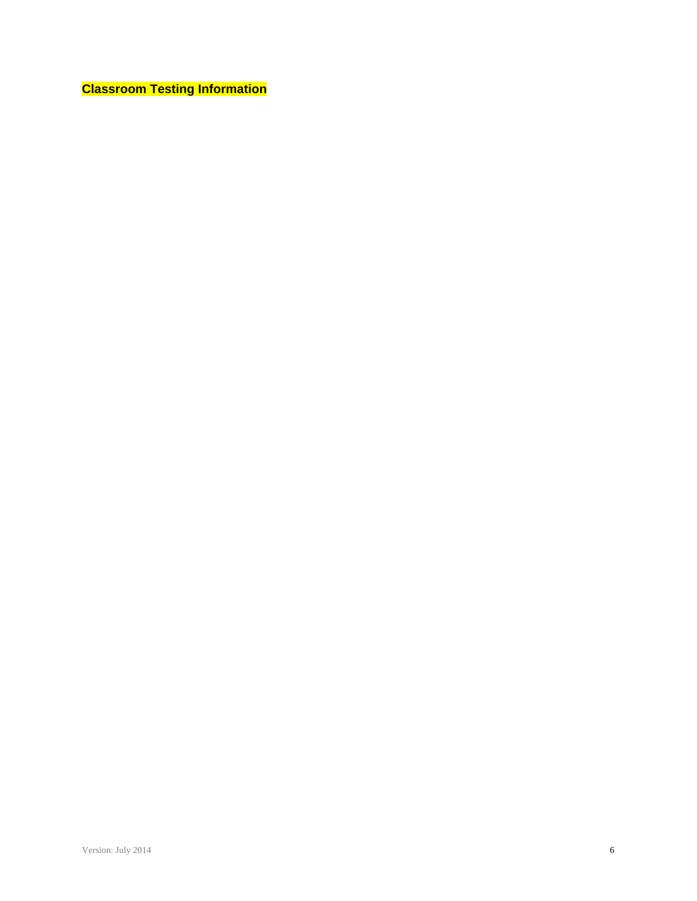**Classroom Testing Information**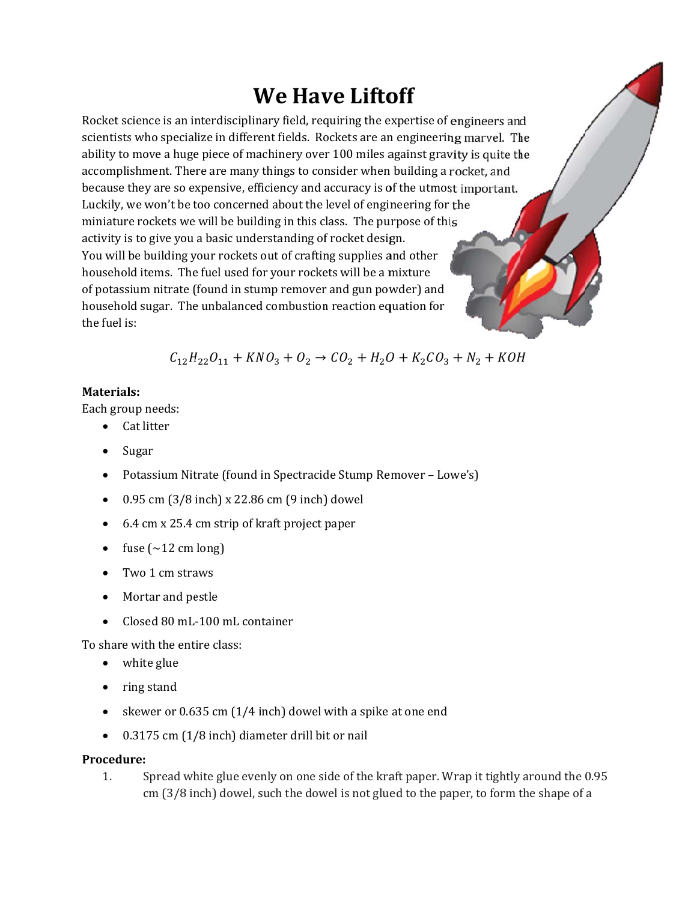# **We Have Liftoff**

Rocket science is an interdisciplinary field, requiring the expertise of engineers and scientists who specialize in different fields. Rockets are an engineering marvel. The ability to move a huge piece of machinery over 100 miles against gravity is quite the accomplishment. There are many things to consider when building a rocket, and because they are so expensive, efficiency and accuracy is of the utmost important. Luckily, we won't be too concerned about the level of engineering for the miniature rockets we will be building in this class. The purpose of this activity is to give you a basic understanding of rocket design. You will be building your rockets out of crafting supplies and other household items. The fuel used for your rockets will be a mixture of potassium nitrate (found in stump remover and gun powder) and household sugar. The unbalanced combustion reaction equation for the fuel is:

 $C_{12}H_{22}O_{11} + KNO_3 + O_2 \rightarrow CO_2 + H_2O + K_2CO_3 + N_2 + KOH$ 

# Materials:

Each group needs:

- Cat litter
- Sugar
- Potassium Nitrate (found in Spectracide Stump Remover Lowe's)
- 0.95 cm (3/8 inch) x 22.86 cm (9 inch) dowel  $\bullet$
- 6.4 cm x 25.4 cm strip of kraft project paper  $\bullet$
- fuse  $(\sim 12 \text{ cm long})$
- Two 1 cm straws
- Mortar and pestle
- Closed 80 mL-100 mL container

To share with the entire class:

- white glue
- ring stand
- skewer or 0.635 cm (1/4 inch) dowel with a spike at one end
- 0.3175 cm (1/8 inch) diameter drill bit or nail  $\bullet$

# Procedure:

 $1<sub>1</sub>$ Spread white glue evenly on one side of the kraft paper. Wrap it tightly around the 0.95 cm (3/8 inch) dowel, such the dowel is not glued to the paper, to form the shape of a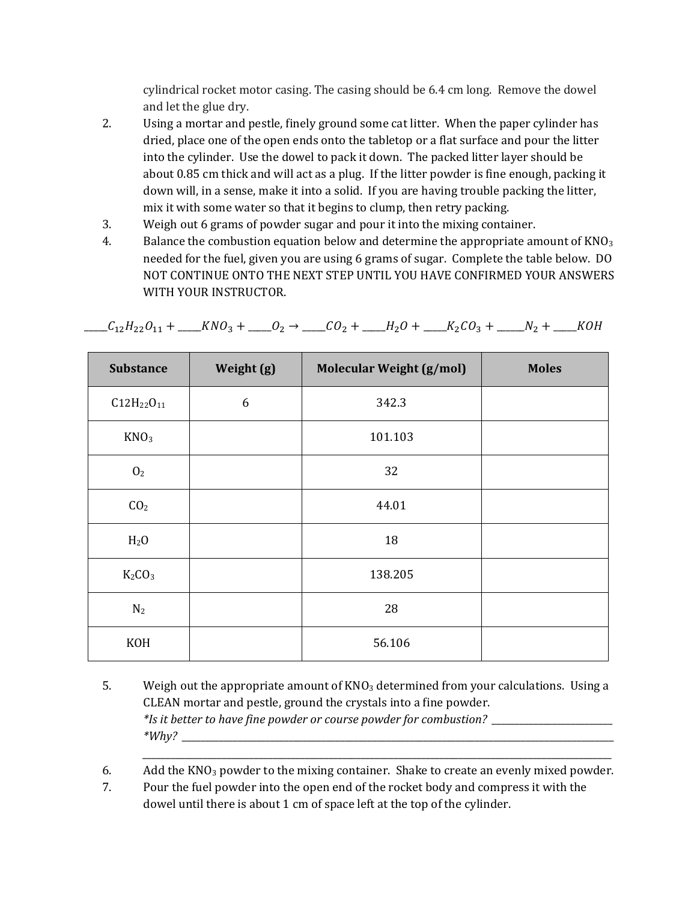cylindrical rocket motor casing. The casing should be  $6.4 \text{ cm}$  long. Remove the dowel and let the glue dry.

- 2. Using a mortar and pestle, finely ground some cat litter. When the paper cylinder has dried, place one of the open ends onto the tabletop or a flat surface and pour the litter into the cylinder. Use the dowel to pack it down. The packed litter layer should be about  $0.85$  cm thick and will act as a plug. If the litter powder is fine enough, packing it down will, in a sense, make it into a solid. If you are having trouble packing the litter, mix it with some water so that it begins to clump, then retry packing.
- 3. Weigh out 6 grams of powder sugar and pour it into the mixing container.
- 4. Balance the combustion equation below and determine the appropriate amount of  $KNO_3$ needed for the fuel, given you are using 6 grams of sugar. Complete the table below. DO NOT CONTINUE ONTO THE NEXT STEP UNTIL YOU HAVE CONFIRMED YOUR ANSWERS WITH YOUR INSTRUCTOR.

| <b>Substance</b>  | Weight (g) | <b>Molecular Weight (g/mol)</b> | <b>Moles</b> |
|-------------------|------------|---------------------------------|--------------|
| $C12H_{22}O_{11}$ | 6          | 342.3                           |              |
| KNO <sub>3</sub>  |            | 101.103                         |              |
| 0 <sub>2</sub>    |            | 32                              |              |
| CO <sub>2</sub>   |            | 44.01                           |              |
| H <sub>2</sub> O  |            | 18                              |              |
| $K_2CO_3$         |            | 138.205                         |              |
| N <sub>2</sub>    |            | 28                              |              |
| KOH               |            | 56.106                          |              |

 $\underline{\hspace{1cm}}C_{12}H_{22}O_{11} + \underline{\hspace{1cm}}KNO_3 + \underline{\hspace{1cm}}O_2 \rightarrow \underline{\hspace{1cm}}CO_2 + \underline{\hspace{1cm}}H_2O + \underline{\hspace{1cm}}K_2CO_3 + \underline{\hspace{1cm}}N_2 + \underline{\hspace{1cm}}KOH$ 

5. Weigh out the appropriate amount of  $KNO_3$  determined from your calculations. Using a CLEAN mortar and pestle, ground the crystals into a fine powder. *\*Is it better to have fine powder or course powder for combustion? \_\_\_\_\_\_\_\_\_\_\_\_\_\_\_\_\_\_\_\_\_\_\_\_\_\_ \*Why? \_\_\_\_\_\_\_\_\_\_\_\_\_\_\_\_\_\_\_\_\_\_\_\_\_\_\_\_\_\_\_\_\_\_\_\_\_\_\_\_\_\_\_\_\_\_\_\_\_\_\_\_\_\_\_\_\_\_\_\_\_\_\_\_\_\_\_\_\_\_\_\_\_\_\_\_\_\_\_\_\_\_\_\_\_\_\_\_\_\_\_\_\_*

6. Add the  $KNO_3$  powder to the mixing container. Shake to create an evenly mixed powder.

*\_\_\_\_\_\_\_\_\_\_\_\_\_\_\_\_\_\_\_\_\_\_\_\_\_\_\_\_\_\_\_\_\_\_\_\_\_\_\_\_\_\_\_\_\_\_\_\_\_\_\_\_\_\_\_\_\_\_\_\_\_\_\_\_\_\_\_\_\_\_\_\_\_\_\_\_\_\_\_\_\_\_\_\_\_\_\_\_\_\_\_\_\_\_\_\_\_\_\_\_\_*

7. Pour the fuel powder into the open end of the rocket body and compress it with the dowel until there is about 1 cm of space left at the top of the cylinder.